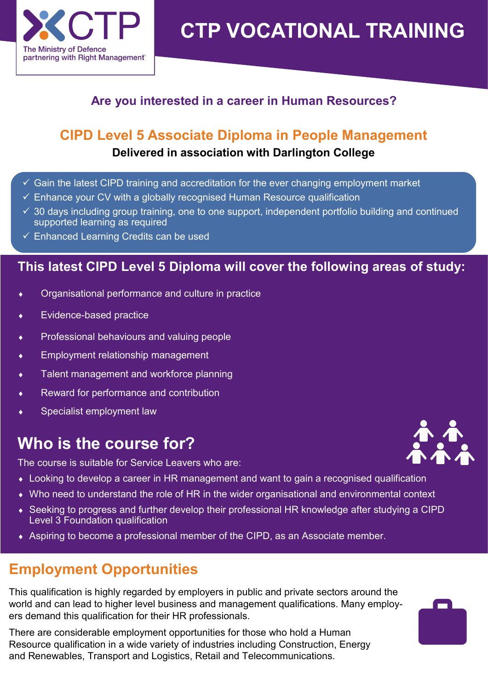

#### **Are you interested in a career in Human Resources?**

#### **CIPD Level 5 Associate Diploma in People Management Delivered in association with Darlington College**

- $\checkmark$  Gain the latest CIPD training and accreditation for the ever changing employment market
- $\checkmark$  Enhance your CV with a globally recognised Human Resource qualification
- $\checkmark$  30 days including group training, one to one support, independent portfolio building and continued supported learning as required
- $\checkmark$  Enhanced Learning Credits can be used

#### **This latest CIPD Level 5 Diploma will cover the following areas of study:**

- Organisational performance and culture in practice
- Evidence-based practice
- **•** Professional behaviours and valuing people
- **Employment relationship management**
- **Talent management and workforce planning**
- Reward for performance and contribution
- Specialist employment law

# **Who is the course for?**

The course is suitable for Service Leavers who are:

- Looking to develop a career in HR management and want to gain a recognised qualification
- Who need to understand the role of HR in the wider organisational and environmental context
- Seeking to progress and further develop their professional HR knowledge after studying a CIPD Level 3 Foundation qualification
- Aspiring to become a professional member of the CIPD, as an Associate member.

# **Employment Opportunities**

This qualification is highly regarded by employers in public and private sectors around the world and can lead to higher level business and management qualifications. Many employers demand this qualification for their HR professionals.

There are considerable employment opportunities for those who hold a Human Resource qualification in a wide variety of industries including Construction, Energy and Renewables, Transport and Logistics, Retail and Telecommunications.